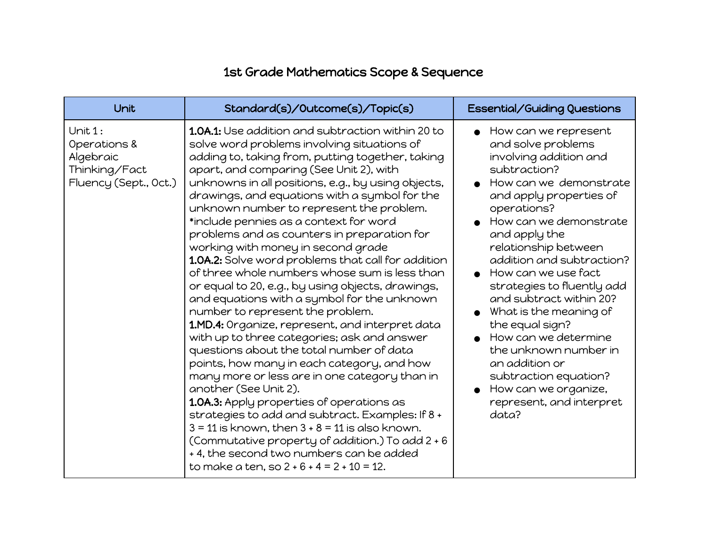## 1st Grade Mathematics Scope & Sequence

| Unit                                                                           | Standard(s)/Outcome(s)/Topic(s)                                                                                                                                                                                                                                                                                                                                                                                                                                                                                                                                                                                                                                                                                                                                                                                                                                                                                                                                                                                                                                                                                                                                                                                                                                                                                       | Essential/Guiding Questions                                                                                                                                                                                                                                                                                                                                                                                                                                                                                                                                 |
|--------------------------------------------------------------------------------|-----------------------------------------------------------------------------------------------------------------------------------------------------------------------------------------------------------------------------------------------------------------------------------------------------------------------------------------------------------------------------------------------------------------------------------------------------------------------------------------------------------------------------------------------------------------------------------------------------------------------------------------------------------------------------------------------------------------------------------------------------------------------------------------------------------------------------------------------------------------------------------------------------------------------------------------------------------------------------------------------------------------------------------------------------------------------------------------------------------------------------------------------------------------------------------------------------------------------------------------------------------------------------------------------------------------------|-------------------------------------------------------------------------------------------------------------------------------------------------------------------------------------------------------------------------------------------------------------------------------------------------------------------------------------------------------------------------------------------------------------------------------------------------------------------------------------------------------------------------------------------------------------|
| Unit 1:<br>Operations &<br>Algebraic<br>Thinking/Fact<br>Fluency (Sept., Oct.) | <b>1.0A.1:</b> Use addition and subtraction within 20 to<br>solve word problems involving situations of<br>adding to, taking from, putting together, taking<br>apart, and comparing (See Unit 2), with<br>unknowns in all positions, e.g., by using objects,<br>drawings, and equations with a symbol for the<br>unknown number to represent the problem.<br>*include pennies as a context for word<br>problems and as counters in preparation for<br>working with money in second grade<br>1.0A.2: Solve word problems that call for addition<br>of three whole numbers whose sum is less than<br>or equal to 20, e.g., by using objects, drawings,<br>and equations with a symbol for the unknown<br>number to represent the problem.<br>1.MD.4: Organize, represent, and interpret data<br>with up to three categories; ask and answer<br>questions about the total number of data<br>points, how many in each category, and how<br>many more or less are in one category than in<br>another (See Unit 2).<br>1.0A.3: Apply properties of operations as<br>strategies to add and subtract. Examples: If 8 +<br>$3 = 11$ is known, then $3 + 8 = 11$ is also known.<br>(Commutative property of addition.) To add 2 + 6<br>+4, the second two numbers can be added<br>to make a ten, so $2 + 6 + 4 = 2 + 10 = 12$ . | How can we represent<br>$\bullet$<br>and solve problems<br>involving addition and<br>subtraction?<br>How can we demonstrate<br>and apply properties of<br>operations?<br>How can we demonstrate<br>and apply the<br>relationship between<br>addition and subtraction?<br>How can we use fact<br>strategies to fluently add<br>and subtract within 20?<br>What is the meaning of<br>the equal sign?<br>How can we determine<br>the unknown number in<br>an addition or<br>subtraction equation?<br>How can we organize,<br>represent, and interpret<br>data? |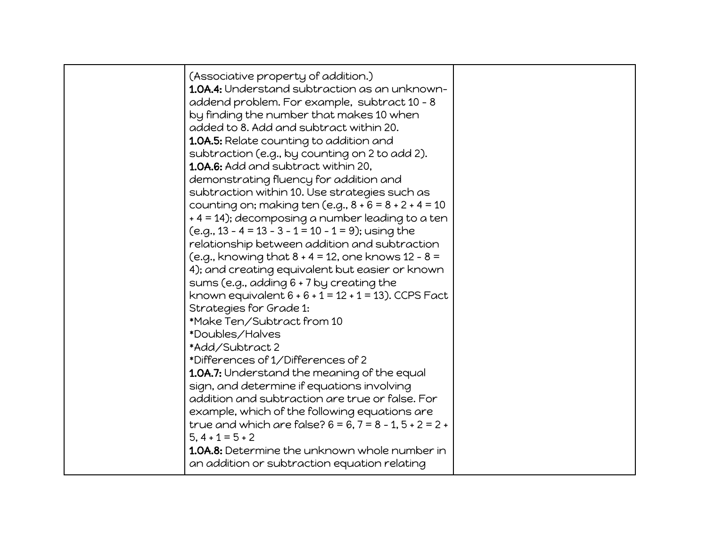| (Associative property of addition.)<br>1.0A.4: Understand subtraction as an unknown-<br>addend problem. For example, subtract 10 - 8<br>by finding the number that makes 10 when<br>added to 8. Add and subtract within 20.<br><b>1.0A.5:</b> Relate counting to addition and<br>subtraction (e.g., by counting on 2 to add 2).<br><b>1.0A.6:</b> Add and subtract within 20,<br>demonstrating fluency for addition and<br>subtraction within 10. Use strategies such as<br>counting on; making ten (e.g., $8 + 6 = 8 + 2 + 4 = 10$<br>+ 4 = 14); decomposing a number leading to a ten<br>$(e.g., 13 - 4 = 13 - 3 - 1 = 10 - 1 = 9);$ using the<br>relationship between addition and subtraction<br>(e.g., knowing that $8 + 4 = 12$ , one knows $12 - 8 =$<br>4); and creating equivalent but easier or known<br>sums (e.g., adding 6 + 7 by creating the<br>known equivalent $6 + 6 + 1 = 12 + 1 = 13$ ). CCPS Fact<br>Strategies for Grade 1:<br>*Make Ten/Subtract from 10<br>*Doubles/Halves<br>*Add/Subtract 2<br>*Differences of 1/Differences of 2<br>1.0A.7: Understand the meaning of the equal<br>sign, and determine if equations involving<br>addition and subtraction are true or false. For<br>example, which of the following equations are<br>true and which are false? $6 = 6$ , $7 = 8 - 1$ , $5 + 2 = 2 +$<br>$5, 4 + 1 = 5 + 2$ |  |
|-------------------------------------------------------------------------------------------------------------------------------------------------------------------------------------------------------------------------------------------------------------------------------------------------------------------------------------------------------------------------------------------------------------------------------------------------------------------------------------------------------------------------------------------------------------------------------------------------------------------------------------------------------------------------------------------------------------------------------------------------------------------------------------------------------------------------------------------------------------------------------------------------------------------------------------------------------------------------------------------------------------------------------------------------------------------------------------------------------------------------------------------------------------------------------------------------------------------------------------------------------------------------------------------------------------------------------------------------------|--|
| 1.0A.8: Determine the unknown whole number in<br>an addition or subtraction equation relating                                                                                                                                                                                                                                                                                                                                                                                                                                                                                                                                                                                                                                                                                                                                                                                                                                                                                                                                                                                                                                                                                                                                                                                                                                                         |  |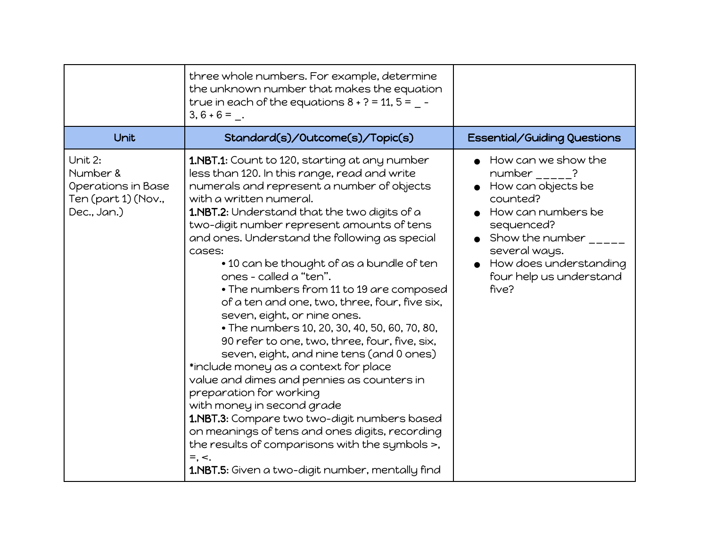|                                                                                 | three whole numbers. For example, determine<br>the unknown number that makes the equation<br>true in each of the equations $8 + ? = 11$ , $5 = -$<br>$3, 6 + 6 = .$                                                                                                                                                                                                                                                                                                                                                                                                                                                                                                                                                                                                                                                                                                                                                                                                                                                                                              |                                                                                                                                                                                                                                   |
|---------------------------------------------------------------------------------|------------------------------------------------------------------------------------------------------------------------------------------------------------------------------------------------------------------------------------------------------------------------------------------------------------------------------------------------------------------------------------------------------------------------------------------------------------------------------------------------------------------------------------------------------------------------------------------------------------------------------------------------------------------------------------------------------------------------------------------------------------------------------------------------------------------------------------------------------------------------------------------------------------------------------------------------------------------------------------------------------------------------------------------------------------------|-----------------------------------------------------------------------------------------------------------------------------------------------------------------------------------------------------------------------------------|
| Unit                                                                            | Standard(s)/Outcome(s)/Topic(s)                                                                                                                                                                                                                                                                                                                                                                                                                                                                                                                                                                                                                                                                                                                                                                                                                                                                                                                                                                                                                                  | Essential/Guiding Questions                                                                                                                                                                                                       |
| Unit 2:<br>Number &<br>Operations in Base<br>Ten (part 1) (Nov.,<br>Dec., Jan.) | 1.NBT.1: Count to 120, starting at any number<br>less than 120. In this range, read and write<br>numerals and represent a number of objects<br>with a written numeral.<br><b>1.NBT.2:</b> Understand that the two digits of a<br>two-digit number represent amounts of tens<br>and ones. Understand the following as special<br>cases:<br>• 10 can be thought of as a bundle of ten<br>ones - called a "ten".<br>. The numbers from 11 to 19 are composed<br>of a ten and one, two, three, four, five six,<br>seven, eight, or nine ones.<br>• The numbers 10, 20, 30, 40, 50, 60, 70, 80,<br>90 refer to one, two, three, four, five, six,<br>seven, eight, and nine tens (and 0 ones)<br>*include money as a context for place<br>value and dimes and pennies as counters in<br>preparation for working<br>with money in second grade<br>1.NBT.3: Compare two two-digit numbers based<br>on meanings of tens and ones digits, recording<br>the results of comparisons with the symbols >,<br>$=$ , $\lt$ .<br>1.NBT.5: Given a two-digit number, mentally find | How can we show the<br>number $\frac{1}{1-\frac{1}{2}}$ ?<br>How can objects be<br>counted?<br>How can numbers be<br>sequenced?<br>Show the number<br>several ways.<br>How does understanding<br>four help us understand<br>five? |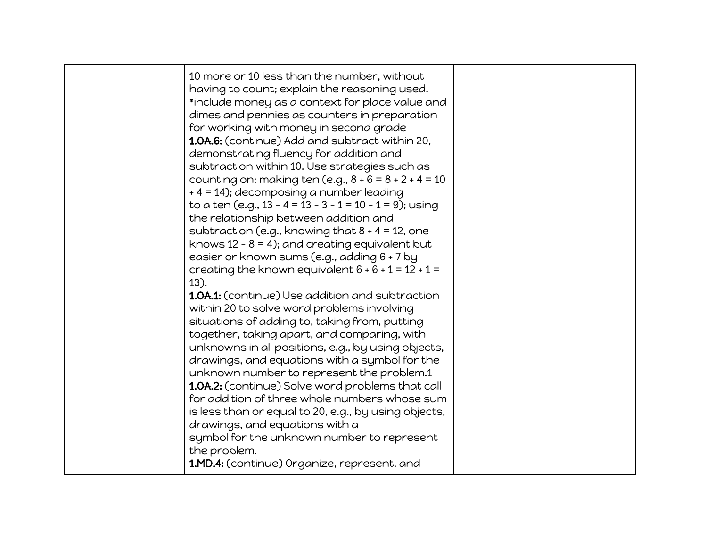| knows 12 - $8 = 4$ ); and creating equivalent but<br>easier or known sums (e.g., adding 6 + 7 by<br>creating the known equivalent $6 + 6 + 1 = 12 + 1 =$<br>$13$ ).<br>1.0A.1: (continue) Use addition and subtraction<br>within 20 to solve word problems involving<br>situations of adding to, taking from, putting<br>together, taking apart, and comparing, with<br>unknowns in all positions, e.g., by using objects,<br>drawings, and equations with a symbol for the<br>unknown number to represent the problem.1<br>1.0A.2: (continue) Solve word problems that call<br>for addition of three whole numbers whose sum<br>is less than or equal to 20, e.g., by using objects,<br>drawings, and equations with a<br>symbol for the unknown number to represent<br>the problem.<br>1.MD.4: (continue) Organize, represent, and |  | 10 more or 10 less than the number, without<br>having to count; explain the reasoning used.<br>*include money as a context for place value and<br>dimes and pennies as counters in preparation<br>for working with money in second grade<br>1.0A.6: (continue) Add and subtract within 20,<br>demonstrating fluency for addition and<br>subtraction within 10. Use strategies such as<br>counting on; making ten (e.g., $8 + 6 = 8 + 2 + 4 = 10$<br>+ 4 = 14); decomposing a number leading<br>to a ten (e.g., 13 - 4 = 13 - 3 - 1 = 10 - 1 = 9); using<br>the relationship between addition and<br>subtraction (e.g., knowing that $8 + 4 = 12$ , one |  |
|--------------------------------------------------------------------------------------------------------------------------------------------------------------------------------------------------------------------------------------------------------------------------------------------------------------------------------------------------------------------------------------------------------------------------------------------------------------------------------------------------------------------------------------------------------------------------------------------------------------------------------------------------------------------------------------------------------------------------------------------------------------------------------------------------------------------------------------|--|--------------------------------------------------------------------------------------------------------------------------------------------------------------------------------------------------------------------------------------------------------------------------------------------------------------------------------------------------------------------------------------------------------------------------------------------------------------------------------------------------------------------------------------------------------------------------------------------------------------------------------------------------------|--|
|--------------------------------------------------------------------------------------------------------------------------------------------------------------------------------------------------------------------------------------------------------------------------------------------------------------------------------------------------------------------------------------------------------------------------------------------------------------------------------------------------------------------------------------------------------------------------------------------------------------------------------------------------------------------------------------------------------------------------------------------------------------------------------------------------------------------------------------|--|--------------------------------------------------------------------------------------------------------------------------------------------------------------------------------------------------------------------------------------------------------------------------------------------------------------------------------------------------------------------------------------------------------------------------------------------------------------------------------------------------------------------------------------------------------------------------------------------------------------------------------------------------------|--|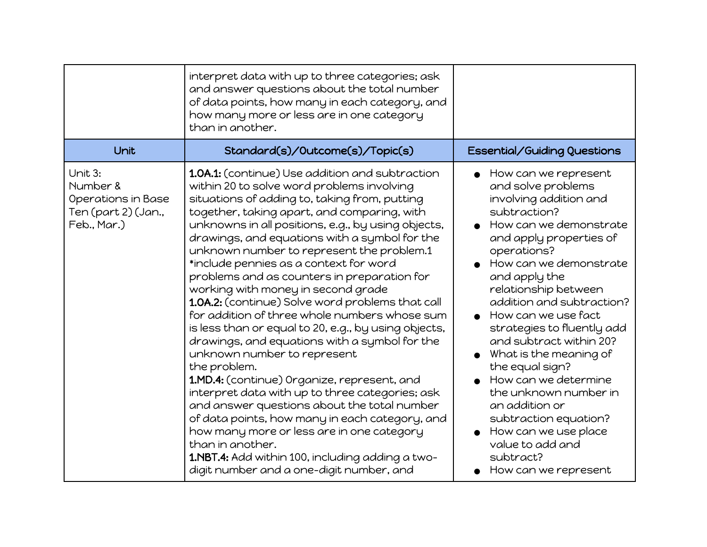|                                                                                 | interpret data with up to three categories; ask<br>and answer questions about the total number<br>of data points, how many in each category, and<br>how many more or less are in one category<br>than in another.                                                                                                                                                                                                                                                                                                                                                                                                                                                                                                                                                                                                                                                                                                                                                                                                                                                                                                 |                                                                                                                                                                                                                                                                                                                                                                                                                                                                                                                                                                    |
|---------------------------------------------------------------------------------|-------------------------------------------------------------------------------------------------------------------------------------------------------------------------------------------------------------------------------------------------------------------------------------------------------------------------------------------------------------------------------------------------------------------------------------------------------------------------------------------------------------------------------------------------------------------------------------------------------------------------------------------------------------------------------------------------------------------------------------------------------------------------------------------------------------------------------------------------------------------------------------------------------------------------------------------------------------------------------------------------------------------------------------------------------------------------------------------------------------------|--------------------------------------------------------------------------------------------------------------------------------------------------------------------------------------------------------------------------------------------------------------------------------------------------------------------------------------------------------------------------------------------------------------------------------------------------------------------------------------------------------------------------------------------------------------------|
| Unit                                                                            | Standard(s)/Outcome(s)/Topic(s)                                                                                                                                                                                                                                                                                                                                                                                                                                                                                                                                                                                                                                                                                                                                                                                                                                                                                                                                                                                                                                                                                   | <b>Essential/Guiding Questions</b>                                                                                                                                                                                                                                                                                                                                                                                                                                                                                                                                 |
| Unit 3:<br>Number &<br>Operations in Base<br>Ten (part 2) (Jan.,<br>Feb., Mar.) | 1.0A.1: (continue) Use addition and subtraction<br>within 20 to solve word problems involving<br>situations of adding to, taking from, putting<br>together, taking apart, and comparing, with<br>unknowns in all positions, e.g., by using objects,<br>drawings, and equations with a symbol for the<br>unknown number to represent the problem.1<br>*include pennies as a context for word<br>problems and as counters in preparation for<br>working with money in second grade<br>1.0A.2: (continue) Solve word problems that call<br>for addition of three whole numbers whose sum<br>is less than or equal to 20, e.g., by using objects,<br>drawings, and equations with a symbol for the<br>unknown number to represent<br>the problem.<br>1.MD.4: (continue) Organize, represent, and<br>interpret data with up to three categories; ask<br>and answer questions about the total number<br>of data points, how many in each category, and<br>how many more or less are in one category<br>than in another.<br>1.NBT.4: Add within 100, including adding a two-<br>digit number and a one-digit number, and | How can we represent<br>and solve problems<br>involving addition and<br>subtraction?<br>How can we demonstrate<br>and apply properties of<br>operations?<br>How can we demonstrate<br>and apply the<br>relationship between<br>addition and subtraction?<br>How can we use fact<br>strategies to fluently add<br>and subtract within 20?<br>What is the meaning of<br>the equal sign?<br>How can we determine<br>the unknown number in<br>an addition or<br>subtraction equation?<br>How can we use place<br>value to add and<br>subtract?<br>How can we represent |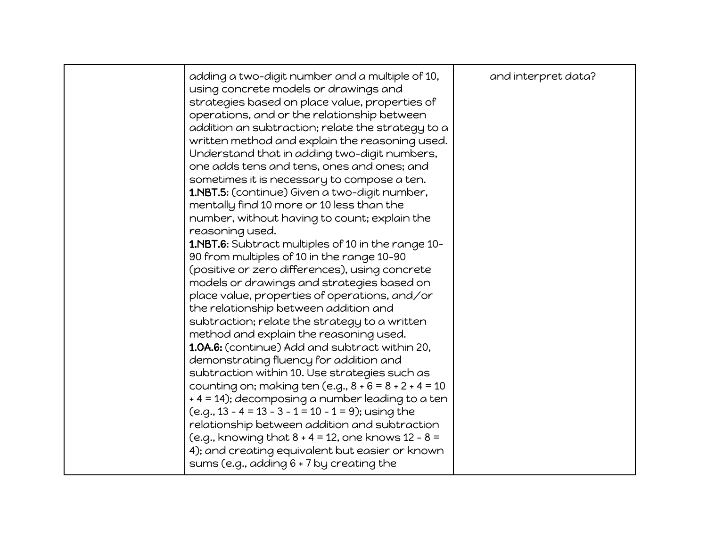|  | adding a two-digit number and a multiple of 10,<br>using concrete models or drawings and<br>strategies based on place value, properties of<br>operations, and or the relationship between<br>addition an subtraction; relate the strategy to a<br>written method and explain the reasoning used.<br>Understand that in adding two-digit numbers,<br>one adds tens and tens, ones and ones; and<br>sometimes it is necessary to compose a ten.<br>1.NBT.5: (continue) Given a two-digit number,<br>mentally find 10 more or 10 less than the<br>number, without having to count; explain the<br>reasoning used.<br>1.NBT.6: Subtract multiples of 10 in the range 10-<br>90 from multiples of 10 in the range 10-90<br>(positive or zero differences), using concrete<br>models or drawings and strategies based on<br>place value, properties of operations, and/or<br>the relationship between addition and<br>subtraction; relate the strategy to a written<br>method and explain the reasoning used.<br>1.0A.6: (continue) Add and subtract within 20,<br>demonstrating fluency for addition and<br>subtraction within 10. Use strategies such as<br>counting on; making ten (e.g., $8 + 6 = 8 + 2 + 4 = 10$<br>+4 = 14); decomposing a number leading to a ten<br>$(e.g., 13 - 4 = 13 - 3 - 1 = 10 - 1 = 9);$ using the<br>relationship between addition and subtraction<br>(e.g., knowing that $8 + 4 = 12$ , one knows $12 - 8 =$<br>4); and creating equivalent but easier or known<br>sums (e.g., adding 6 + 7 by creating the | and interpret data? |
|--|----------------------------------------------------------------------------------------------------------------------------------------------------------------------------------------------------------------------------------------------------------------------------------------------------------------------------------------------------------------------------------------------------------------------------------------------------------------------------------------------------------------------------------------------------------------------------------------------------------------------------------------------------------------------------------------------------------------------------------------------------------------------------------------------------------------------------------------------------------------------------------------------------------------------------------------------------------------------------------------------------------------------------------------------------------------------------------------------------------------------------------------------------------------------------------------------------------------------------------------------------------------------------------------------------------------------------------------------------------------------------------------------------------------------------------------------------------------------------------------------------------------------------------------|---------------------|
|--|----------------------------------------------------------------------------------------------------------------------------------------------------------------------------------------------------------------------------------------------------------------------------------------------------------------------------------------------------------------------------------------------------------------------------------------------------------------------------------------------------------------------------------------------------------------------------------------------------------------------------------------------------------------------------------------------------------------------------------------------------------------------------------------------------------------------------------------------------------------------------------------------------------------------------------------------------------------------------------------------------------------------------------------------------------------------------------------------------------------------------------------------------------------------------------------------------------------------------------------------------------------------------------------------------------------------------------------------------------------------------------------------------------------------------------------------------------------------------------------------------------------------------------------|---------------------|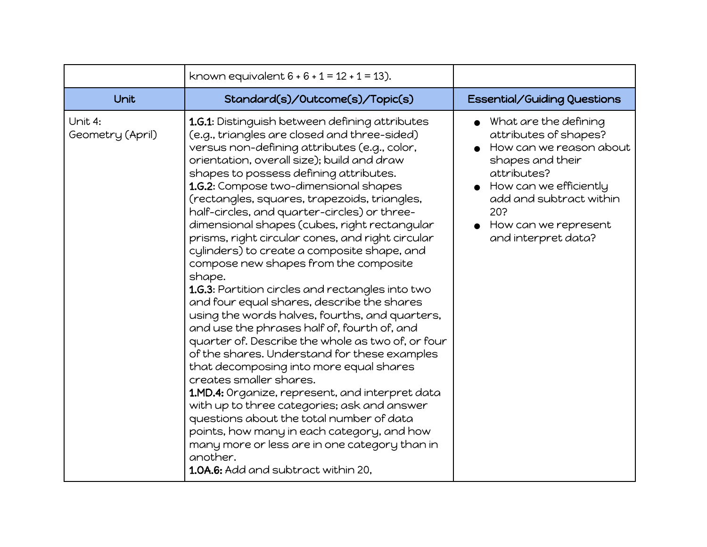|                             | known equivalent $6 + 6 + 1 = 12 + 1 = 13$ ).                                                                                                                                                                                                                                                                                                                                                                                                                                                                                                                                                                                                                                                                                                                                                                                                                                                                                                                                                                                                                                                                                                                                                                                                                       |                                                                                                                                                                                                                         |
|-----------------------------|---------------------------------------------------------------------------------------------------------------------------------------------------------------------------------------------------------------------------------------------------------------------------------------------------------------------------------------------------------------------------------------------------------------------------------------------------------------------------------------------------------------------------------------------------------------------------------------------------------------------------------------------------------------------------------------------------------------------------------------------------------------------------------------------------------------------------------------------------------------------------------------------------------------------------------------------------------------------------------------------------------------------------------------------------------------------------------------------------------------------------------------------------------------------------------------------------------------------------------------------------------------------|-------------------------------------------------------------------------------------------------------------------------------------------------------------------------------------------------------------------------|
| Unit                        | Standard(s)/Outcome(s)/Topic(s)                                                                                                                                                                                                                                                                                                                                                                                                                                                                                                                                                                                                                                                                                                                                                                                                                                                                                                                                                                                                                                                                                                                                                                                                                                     | Essential/Guiding Questions                                                                                                                                                                                             |
| Unit 4:<br>Geometry (April) | 1.G.1: Distinguish between defining attributes<br>(e.g., triangles are closed and three-sided)<br>versus non-defining attributes (e.g., color,<br>orientation, overall size); build and draw<br>shapes to possess defining attributes.<br>1.G.2: Compose two-dimensional shapes<br>(rectangles, squares, trapezoids, triangles,<br>half-circles, and quarter-circles) or three-<br>dimensional shapes (cubes, right rectangular<br>prisms, right circular cones, and right circular<br>cylinders) to create a composite shape, and<br>compose new shapes from the composite<br>shape.<br>1.G.3: Partition circles and rectangles into two<br>and four equal shares, describe the shares<br>using the words halves, fourths, and quarters,<br>and use the phrases half of, fourth of, and<br>quarter of. Describe the whole as two of, or four<br>of the shares. Understand for these examples<br>that decomposing into more equal shares<br>creates smaller shares.<br>1.MD.4: Organize, represent, and interpret data<br>with up to three categories; ask and answer<br>questions about the total number of data<br>points, how many in each category, and how<br>many more or less are in one category than in<br>another.<br>1.0A.6: Add and subtract within 20, | What are the defining<br>attributes of shapes?<br>How can we reason about<br>shapes and their<br>attributes?<br>How can we efficiently<br>add and subtract within<br>20?<br>How can we represent<br>and interpret data? |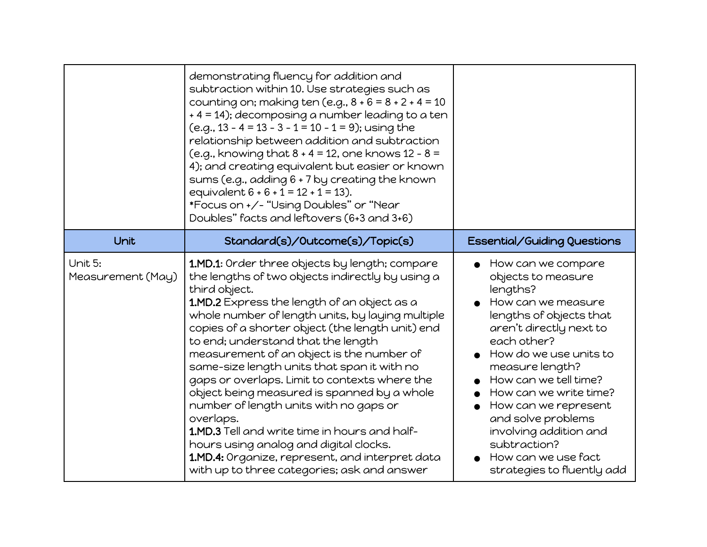|                              | demonstrating fluency for addition and<br>subtraction within 10. Use strategies such as<br>counting on; making ten (e.g., $8 + 6 = 8 + 2 + 4 = 10$<br>+4 = 14); decomposing a number leading to a ten<br>$(e.g., 13 - 4 = 13 - 3 - 1 = 10 - 1 = 9);$ using the<br>relationship between addition and subtraction<br>(e.g., knowing that $8 + 4 = 12$ , one knows $12 - 8 =$<br>4); and creating equivalent but easier or known<br>sums (e.g., adding 6 + 7 by creating the known<br>equivalent $6 + 6 + 1 = 12 + 1 = 13$ ).<br>*Focus on +/- "Using Doubles" or "Near<br>Doubles" facts and leftovers (6+3 and 3+6)                                                                                                                                               |                                                                                                                                                                                                                                                                                                                                                                                              |
|------------------------------|------------------------------------------------------------------------------------------------------------------------------------------------------------------------------------------------------------------------------------------------------------------------------------------------------------------------------------------------------------------------------------------------------------------------------------------------------------------------------------------------------------------------------------------------------------------------------------------------------------------------------------------------------------------------------------------------------------------------------------------------------------------|----------------------------------------------------------------------------------------------------------------------------------------------------------------------------------------------------------------------------------------------------------------------------------------------------------------------------------------------------------------------------------------------|
| Unit                         | Standard(s)/Outcome(s)/Topic(s)                                                                                                                                                                                                                                                                                                                                                                                                                                                                                                                                                                                                                                                                                                                                  | Essential/Guiding Questions                                                                                                                                                                                                                                                                                                                                                                  |
| Unit 5:<br>Measurement (May) | 1.MD.1: Order three objects by length; compare<br>the lengths of two objects indirectly by using a<br>third object.<br>1.MD.2 Express the length of an object as a<br>whole number of length units, by laying multiple<br>copies of a shorter object (the length unit) end<br>to end; understand that the length<br>measurement of an object is the number of<br>same-size length units that span it with no<br>gaps or overlaps. Limit to contexts where the<br>object being measured is spanned by a whole<br>number of length units with no gaps or<br>overlaps.<br>1.MD.3 Tell and write time in hours and half-<br>hours using analog and digital clocks.<br>1.MD.4: Organize, represent, and interpret data<br>with up to three categories; ask and answer | How can we compare<br>objects to measure<br>lengths?<br>How can we measure<br>lengths of objects that<br>aren't directly next to<br>each other?<br>How do we use units to<br>measure length?<br>How can we tell time?<br>How can we write time?<br>How can we represent<br>and solve problems<br>involving addition and<br>subtraction?<br>How can we use fact<br>strategies to fluently add |